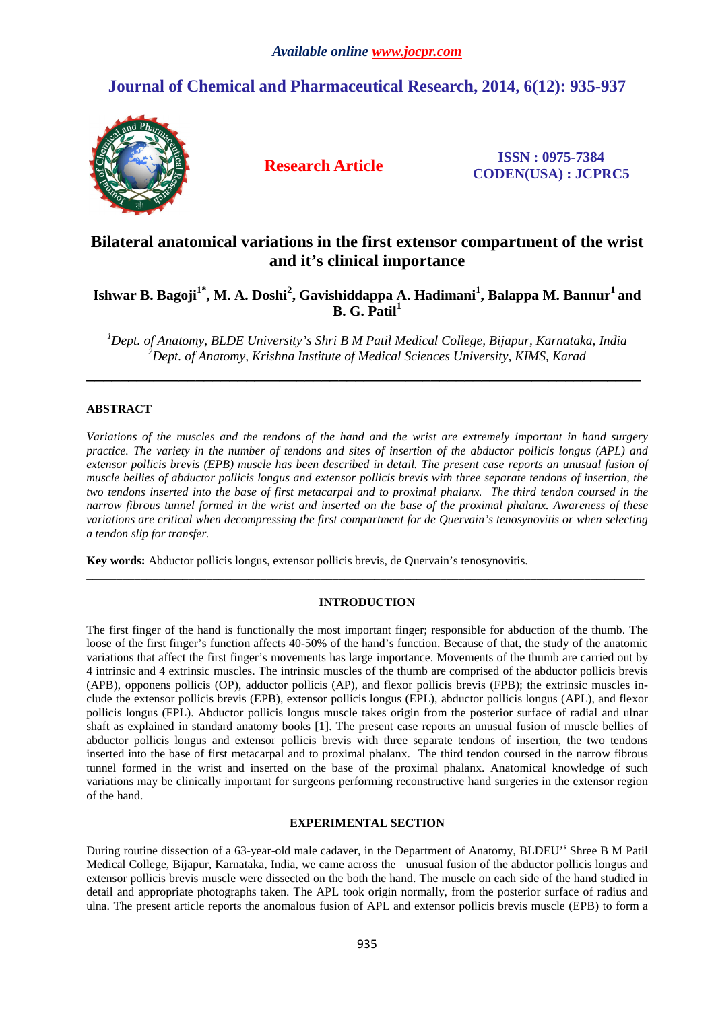# **Journal of Chemical and Pharmaceutical Research, 2014, 6(12): 935-937**



**Research Article ISSN : 0975-7384 CODEN(USA) : JCPRC5**

# **Bilateral anatomical variations in the first extensor compartment of the wrist and it's clinical importance**

# **Ishwar B. Bagoji1\*, M. A. Doshi<sup>2</sup> , Gavishiddappa A. Hadimani<sup>1</sup> , Balappa M. Bannur<sup>1</sup>and B. G. Patil<sup>1</sup>**

*<sup>1</sup>Dept. of Anatomy, BLDE University's Shri B M Patil Medical College, Bijapur, Karnataka, India <sup>2</sup>Dept. of Anatomy, Krishna Institute of Medical Sciences University, KIMS, Karad* 

**\_\_\_\_\_\_\_\_\_\_\_\_\_\_\_\_\_\_\_\_\_\_\_\_\_\_\_\_\_\_\_\_\_\_\_\_\_\_\_\_\_\_\_\_\_\_\_\_\_\_\_\_\_\_\_\_\_\_\_\_\_\_\_\_\_\_** 

## **ABSTRACT**

*Variations of the muscles and the tendons of the hand and the wrist are extremely important in hand surgery practice. The variety in the number of tendons and sites of insertion of the abductor pollicis longus (APL) and extensor pollicis brevis (EPB) muscle has been described in detail. The present case reports an unusual fusion of muscle bellies of abductor pollicis longus and extensor pollicis brevis with three separate tendons of insertion, the two tendons inserted into the base of first metacarpal and to proximal phalanx. The third tendon coursed in the narrow fibrous tunnel formed in the wrist and inserted on the base of the proximal phalanx. Awareness of these variations are critical when decompressing the first compartment for de Quervain's tenosynovitis or when selecting a tendon slip for transfer.* 

**Key words:** Abductor pollicis longus, extensor pollicis brevis, de Quervain's tenosynovitis.

## **INTRODUCTION**

**\_\_\_\_\_\_\_\_\_\_\_\_\_\_\_\_\_\_\_\_\_\_\_\_\_\_\_\_\_\_\_\_\_\_\_\_\_\_\_\_\_\_\_\_\_\_\_\_\_\_\_\_\_\_\_\_\_\_\_\_\_\_\_\_\_\_\_\_\_\_\_\_\_\_\_\_\_\_\_\_\_\_\_\_\_\_\_\_\_\_\_\_\_** 

The first finger of the hand is functionally the most important finger; responsible for abduction of the thumb. The loose of the first finger's function affects 40-50% of the hand's function. Because of that, the study of the anatomic variations that affect the first finger's movements has large importance. Movements of the thumb are carried out by 4 intrinsic and 4 extrinsic muscles. The intrinsic muscles of the thumb are comprised of the abductor pollicis brevis (APB), opponens pollicis (OP), adductor pollicis (AP), and flexor pollicis brevis (FPB); the extrinsic muscles include the extensor pollicis brevis (EPB), extensor pollicis longus (EPL), abductor pollicis longus (APL), and flexor pollicis longus (FPL). Abductor pollicis longus muscle takes origin from the posterior surface of radial and ulnar shaft as explained in standard anatomy books [1]. The present case reports an unusual fusion of muscle bellies of abductor pollicis longus and extensor pollicis brevis with three separate tendons of insertion, the two tendons inserted into the base of first metacarpal and to proximal phalanx. The third tendon coursed in the narrow fibrous tunnel formed in the wrist and inserted on the base of the proximal phalanx. Anatomical knowledge of such variations may be clinically important for surgeons performing reconstructive hand surgeries in the extensor region of the hand.

## **EXPERIMENTAL SECTION**

During routine dissection of a 63-year-old male cadaver, in the Department of Anatomy, BLDEU's Shree B M Patil Medical College, Bijapur, Karnataka, India, we came across the unusual fusion of the abductor pollicis longus and extensor pollicis brevis muscle were dissected on the both the hand. The muscle on each side of the hand studied in detail and appropriate photographs taken. The APL took origin normally, from the posterior surface of radius and ulna. The present article reports the anomalous fusion of APL and extensor pollicis brevis muscle (EPB) to form a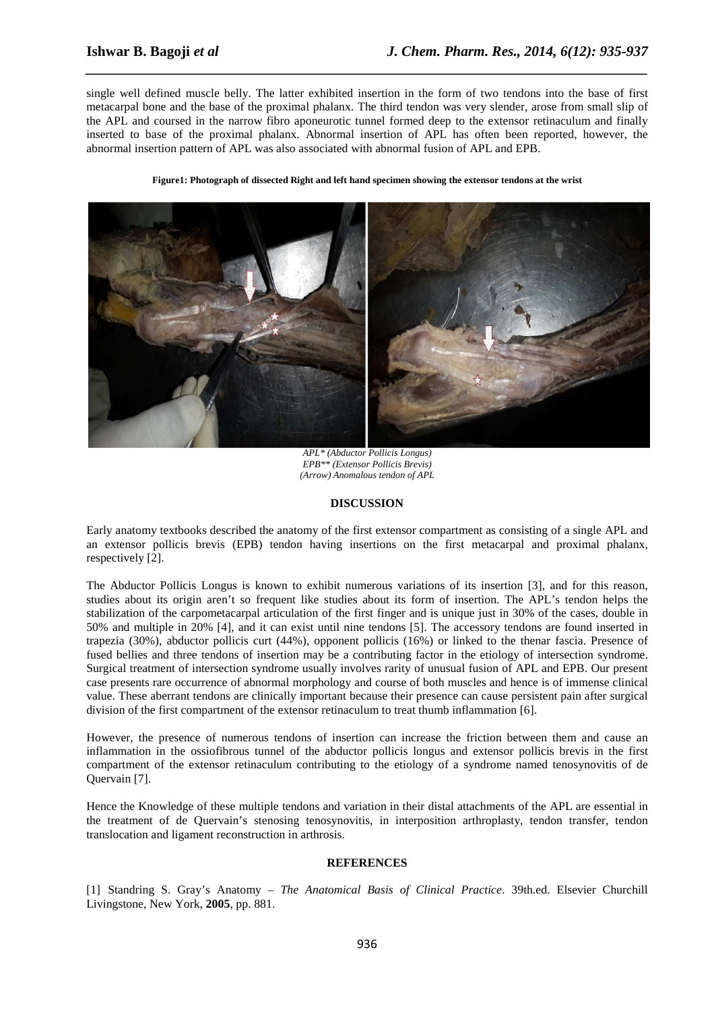single well defined muscle belly. The latter exhibited insertion in the form of two tendons into the base of first metacarpal bone and the base of the proximal phalanx. The third tendon was very slender, arose from small slip of the APL and coursed in the narrow fibro aponeurotic tunnel formed deep to the extensor retinaculum and finally inserted to base of the proximal phalanx. Abnormal insertion of APL has often been reported, however, the abnormal insertion pattern of APL was also associated with abnormal fusion of APL and EPB.

*\_\_\_\_\_\_\_\_\_\_\_\_\_\_\_\_\_\_\_\_\_\_\_\_\_\_\_\_\_\_\_\_\_\_\_\_\_\_\_\_\_\_\_\_\_\_\_\_\_\_\_\_\_\_\_\_\_\_\_\_\_\_\_\_\_\_\_\_\_\_\_\_\_\_\_\_\_\_*

#### **Figure1: Photograph of dissected Right and left hand specimen showing the extensor tendons at the wrist**



*APL\* (Abductor Pollicis Longus) EPB\*\* (Extensor Pollicis Brevis) (Arrow) Anomalous tendon of APL* 

#### **DISCUSSION**

Early anatomy textbooks described the anatomy of the first extensor compartment as consisting of a single APL and an extensor pollicis brevis (EPB) tendon having insertions on the first metacarpal and proximal phalanx, respectively [2].

The Abductor Pollicis Longus is known to exhibit numerous variations of its insertion [3], and for this reason, studies about its origin aren't so frequent like studies about its form of insertion. The APL's tendon helps the stabilization of the carpometacarpal articulation of the first finger and is unique just in 30% of the cases, double in 50% and multiple in 20% [4], and it can exist until nine tendons [5]. The accessory tendons are found inserted in trapezia (30%), abductor pollicis curt (44%), opponent pollicis (16%) or linked to the thenar fascia. Presence of fused bellies and three tendons of insertion may be a contributing factor in the etiology of intersection syndrome. Surgical treatment of intersection syndrome usually involves rarity of unusual fusion of APL and EPB. Our present case presents rare occurrence of abnormal morphology and course of both muscles and hence is of immense clinical value. These aberrant tendons are clinically important because their presence can cause persistent pain after surgical division of the first compartment of the extensor retinaculum to treat thumb inflammation [6].

However, the presence of numerous tendons of insertion can increase the friction between them and cause an inflammation in the ossiofibrous tunnel of the abductor pollicis longus and extensor pollicis brevis in the first compartment of the extensor retinaculum contributing to the etiology of a syndrome named tenosynovitis of de Quervain [7].

Hence the Knowledge of these multiple tendons and variation in their distal attachments of the APL are essential in the treatment of de Quervain's stenosing tenosynovitis, in interposition arthroplasty, tendon transfer, tendon translocation and ligament reconstruction in arthrosis.

### **REFERENCES**

[1] Standring S. Gray's Anatomy – *The Anatomical Basis of Clinical Practice*. 39th.ed. Elsevier Churchill Livingstone, New York, **2005**, pp. 881.